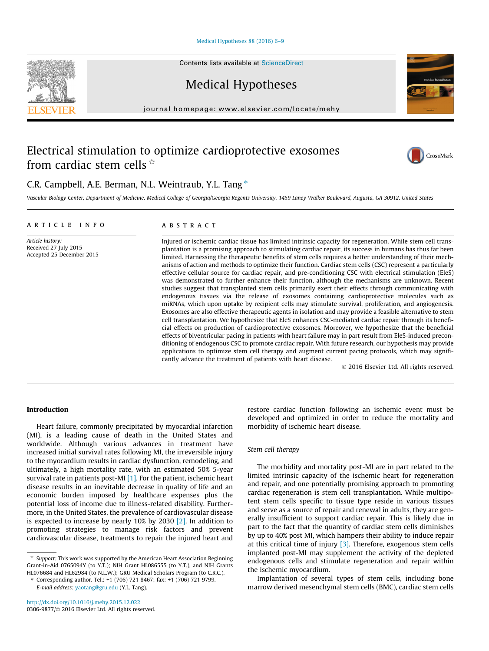# [Medical Hypotheses 88 \(2016\) 6–9](http://dx.doi.org/10.1016/j.mehy.2015.12.022)

Medical Hypotheses

journal homepage: [www.elsevier.com/locate/mehy](http://www.elsevier.com/locate/mehy)

# Electrical stimulation to optimize cardioprotective exosomes from cardiac stem cells  $\hat{z}$

# C.R. Campbell, A.E. Berman, N.L. Weintraub, Y.L. Tang  $*$

Vascular Biology Center, Department of Medicine, Medical College of Georgia/Georgia Regents University, 1459 Laney Walker Boulevard, Augusta, GA 30912, United States

#### article info

Article history: Received 27 July 2015 Accepted 25 December 2015

#### ABSTRACT

Injured or ischemic cardiac tissue has limited intrinsic capacity for regeneration. While stem cell transplantation is a promising approach to stimulating cardiac repair, its success in humans has thus far been limited. Harnessing the therapeutic benefits of stem cells requires a better understanding of their mechanisms of action and methods to optimize their function. Cardiac stem cells (CSC) represent a particularly effective cellular source for cardiac repair, and pre-conditioning CSC with electrical stimulation (EleS) was demonstrated to further enhance their function, although the mechanisms are unknown. Recent studies suggest that transplanted stem cells primarily exert their effects through communicating with endogenous tissues via the release of exosomes containing cardioprotective molecules such as miRNAs, which upon uptake by recipient cells may stimulate survival, proliferation, and angiogenesis. Exosomes are also effective therapeutic agents in isolation and may provide a feasible alternative to stem cell transplantation. We hypothesize that EleS enhances CSC-mediated cardiac repair through its beneficial effects on production of cardioprotective exosomes. Moreover, we hypothesize that the beneficial effects of biventricular pacing in patients with heart failure may in part result from EleS-induced preconditioning of endogenous CSC to promote cardiac repair. With future research, our hypothesis may provide applications to optimize stem cell therapy and augment current pacing protocols, which may significantly advance the treatment of patients with heart disease.

2016 Elsevier Ltd. All rights reserved.

### Introduction

Heart failure, commonly precipitated by myocardial infarction (MI), is a leading cause of death in the United States and worldwide. Although various advances in treatment have increased initial survival rates following MI, the irreversible injury to the myocardium results in cardiac dysfunction, remodeling, and ultimately, a high mortality rate, with an estimated 50% 5-year survival rate in patients post-MI $[1]$ . For the patient, ischemic heart disease results in an inevitable decrease in quality of life and an economic burden imposed by healthcare expenses plus the potential loss of income due to illness-related disability. Furthermore, in the United States, the prevalence of cardiovascular disease is expected to increase by nearly 10% by 2030 [\[2\].](#page-3-0) In addition to promoting strategies to manage risk factors and prevent cardiovascular disease, treatments to repair the injured heart and

⇑ Corresponding author. Tel.: +1 (706) 721 8467; fax: +1 (706) 721 9799. E-mail address: [yaotang@gru.edu](mailto:yaotang@gru.edu) (Y.L. Tang).

0306-9877/© 2016 Elsevier Ltd. All rights reserved.

restore cardiac function following an ischemic event must be developed and optimized in order to reduce the mortality and morbidity of ischemic heart disease.

#### Stem cell therapy

The morbidity and mortality post-MI are in part related to the limited intrinsic capacity of the ischemic heart for regeneration and repair, and one potentially promising approach to promoting cardiac regeneration is stem cell transplantation. While multipotent stem cells specific to tissue type reside in various tissues and serve as a source of repair and renewal in adults, they are generally insufficient to support cardiac repair. This is likely due in part to the fact that the quantity of cardiac stem cells diminishes by up to 40% post MI, which hampers their ability to induce repair at this critical time of injury [\[3\]](#page-3-0). Therefore, exogenous stem cells implanted post-MI may supplement the activity of the depleted endogenous cells and stimulate regeneration and repair within the ischemic myocardium.

Implantation of several types of stem cells, including bone marrow derived mesenchymal stem cells (BMC), cardiac stem cells







 $^\star$  Support: This work was supported by the American Heart Association Beginning Grant-in-Aid 0765094Y (to Y.T.); NIH Grant HL086555 (to Y.T.), and NIH Grants HL076684 and HL62984 (to N.L.W.); GRU Medical Scholars Program (to C.R.C.).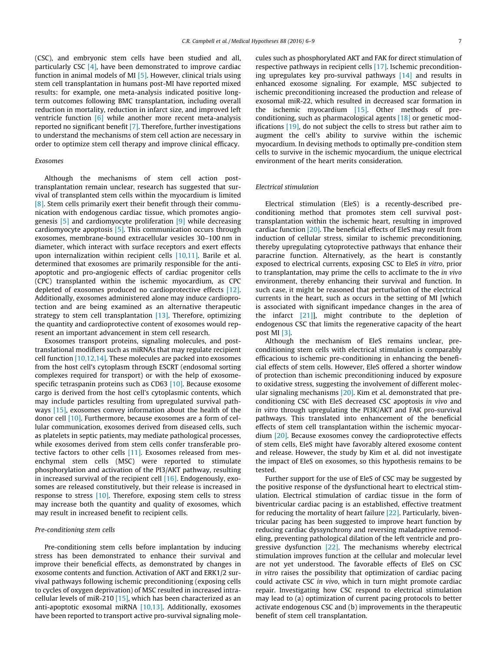(CSC), and embryonic stem cells have been studied and all, particularly CSC [\[4\],](#page-3-0) have been demonstrated to improve cardiac function in animal models of MI [\[5\].](#page-3-0) However, clinical trials using stem cell transplantation in humans post-MI have reported mixed results: for example, one meta-analysis indicated positive longterm outcomes following BMC transplantation, including overall reduction in mortality, reduction in infarct size, and improved left ventricle function  $[6]$  while another more recent meta-analysis reported no significant benefit [\[7\].](#page-3-0) Therefore, further investigations to understand the mechanisms of stem cell action are necessary in order to optimize stem cell therapy and improve clinical efficacy.

#### Exosomes

Although the mechanisms of stem cell action posttransplantation remain unclear, research has suggested that survival of transplanted stem cells within the myocardium is limited [\[8\]](#page-3-0). Stem cells primarily exert their benefit through their communication with endogenous cardiac tissue, which promotes angiogenesis [\[5\]](#page-3-0) and cardiomyocyte proliferation [\[9\]](#page-3-0) while decreasing cardiomyocyte apoptosis [\[5\].](#page-3-0) This communication occurs through exosomes, membrane-bound extracellular vesicles 30–100 nm in diameter, which interact with surface receptors and exert effects upon internalization within recipient cells [\[10,11\].](#page-3-0) Barile et al. determined that exosomes are primarily responsible for the antiapoptotic and pro-angiogenic effects of cardiac progenitor cells (CPC) transplanted within the ischemic myocardium, as CPC depleted of exosomes produced no cardioprotective effects [\[12\].](#page-3-0) Additionally, exosomes administered alone may induce cardioprotection and are being examined as an alternative therapeutic strategy to stem cell transplantation [\[13\].](#page-3-0) Therefore, optimizing the quantity and cardioprotective content of exosomes would represent an important advancement in stem cell research.

Exosomes transport proteins, signaling molecules, and posttranslational modifiers such as miRNAs that may regulate recipient cell function [\[10,12,14\]](#page-3-0). These molecules are packed into exosomes from the host cell's cytoplasm through ESCRT (endosomal sorting complexes required for transport) or with the help of exosome-specific tetraspanin proteins such as CD63 [\[10\]](#page-3-0). Because exosome cargo is derived from the host cell's cytoplasmic contents, which may include particles resulting from upregulated survival pathways [\[15\],](#page-3-0) exosomes convey information about the health of the donor cell [\[10\].](#page-3-0) Furthermore, because exosomes are a form of cellular communication, exosomes derived from diseased cells, such as platelets in septic patients, may mediate pathological processes, while exosomes derived from stem cells confer transferable protective factors to other cells [\[11\]](#page-3-0). Exosomes released from mesenchymal stem cells (MSC) were reported to stimulate phosphorylation and activation of the PI3/AKT pathway, resulting in increased survival of the recipient cell  $[16]$ . Endogenously, exosomes are released constitutively, but their release is increased in response to stress [\[10\]](#page-3-0). Therefore, exposing stem cells to stress may increase both the quantity and quality of exosomes, which may result in increased benefit to recipient cells.

#### Pre-conditioning stem cells

Pre-conditioning stem cells before implantation by inducing stress has been demonstrated to enhance their survival and improve their beneficial effects, as demonstrated by changes in exosome contents and function. Activation of AKT and ERK1/2 survival pathways following ischemic preconditioning (exposing cells to cycles of oxygen deprivation) of MSC resulted in increased intracellular levels of miR-210  $[15]$ , which has been characterized as an anti-apoptotic exosomal miRNA [\[10,13\].](#page-3-0) Additionally, exosomes have been reported to transport active pro-survival signaling molecules such as phosphorylated AKT and FAK for direct stimulation of respective pathways in recipient cells [\[17\]](#page-3-0). Ischemic preconditioning upregulates key pro-survival pathways [\[14\]](#page-3-0) and results in enhanced exosome signaling. For example, MSC subjected to ischemic preconditioning increased the production and release of exosomal miR-22, which resulted in decreased scar formation in the ischemic myocardium [\[15\]](#page-3-0). Other methods of preconditioning, such as pharmacological agents [\[18\]](#page-3-0) or genetic modifications [\[19\]](#page-3-0), do not subject the cells to stress but rather aim to augment the cell's ability to survive within the ischemic myocardium. In devising methods to optimally pre-condition stem cells to survive in the ischemic myocardium, the unique electrical environment of the heart merits consideration.

#### Electrical stimulation

Electrical stimulation (EleS) is a recently-described preconditioning method that promotes stem cell survival posttransplantation within the ischemic heart, resulting in improved cardiac function [\[20\].](#page-3-0) The beneficial effects of EleS may result from induction of cellular stress, similar to ischemic preconditioning, thereby upregulating cytoprotective pathways that enhance their paracrine function. Alternatively, as the heart is constantly exposed to electrical currents, exposing CSC to EleS in vitro, prior to transplantation, may prime the cells to acclimate to the in vivo environment, thereby enhancing their survival and function. In such case, it might be reasoned that perturbation of the electrical currents in the heart, such as occurs in the setting of MI [which is associated with significant impedance changes in the area of the infarct [\[21\]](#page-3-0)], might contribute to the depletion of endogenous CSC that limits the regenerative capacity of the heart post MI [\[3\].](#page-3-0)

Although the mechanism of EleS remains unclear, preconditioning stem cells with electrical stimulation is comparably efficacious to ischemic pre-conditioning in enhancing the beneficial effects of stem cells. However, EleS offered a shorter window of protection than ischemic preconditioning induced by exposure to oxidative stress, suggesting the involvement of different molecular signaling mechanisms [\[20\].](#page-3-0) Kim et al. demonstrated that preconditioning CSC with EleS decreased CSC apoptosis in vivo and in vitro through upregulating the PI3K/AKT and FAK pro-survival pathways. This translated into enhancement of the beneficial effects of stem cell transplantation within the ischemic myocardium [\[20\].](#page-3-0) Because exosomes convey the cardioprotective effects of stem cells, EleS might have favorably altered exosome content and release. However, the study by Kim et al. did not investigate the impact of EleS on exosomes, so this hypothesis remains to be tested.

Further support for the use of EleS of CSC may be suggested by the positive response of the dysfunctional heart to electrical stimulation. Electrical stimulation of cardiac tissue in the form of biventricular cardiac pacing is an established, effective treatment for reducing the mortality of heart failure [\[22\]](#page-3-0). Particularly, biventricular pacing has been suggested to improve heart function by reducing cardiac dyssynchrony and reversing maladaptive remodeling, preventing pathological dilation of the left ventricle and progressive dysfunction [\[22\]](#page-3-0). The mechanisms whereby electrical stimulation improves function at the cellular and molecular level are not yet understood. The favorable effects of EleS on CSC in vitro raises the possibility that optimization of cardiac pacing could activate CSC in vivo, which in turn might promote cardiac repair. Investigating how CSC respond to electrical stimulation may lead to (a) optimization of current pacing protocols to better activate endogenous CSC and (b) improvements in the therapeutic benefit of stem cell transplantation.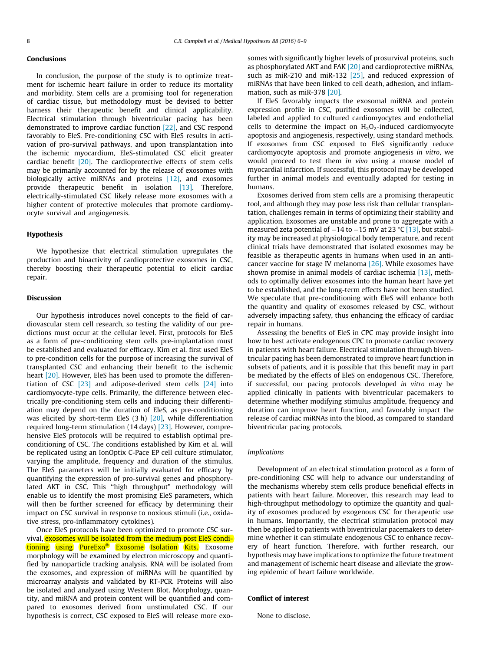# Conclusions

In conclusion, the purpose of the study is to optimize treatment for ischemic heart failure in order to reduce its mortality and morbidity. Stem cells are a promising tool for regeneration of cardiac tissue, but methodology must be devised to better harness their therapeutic benefit and clinical applicability. Electrical stimulation through biventricular pacing has been demonstrated to improve cardiac function [\[22\]](#page-3-0), and CSC respond favorably to EleS. Pre-conditioning CSC with EleS results in activation of pro-survival pathways, and upon transplantation into the ischemic myocardium, EleS-stimulated CSC elicit greater cardiac benefit [\[20\].](#page-3-0) The cardioprotective effects of stem cells may be primarily accounted for by the release of exosomes with biologically active miRNAs and proteins [\[12\],](#page-3-0) and exosomes provide therapeutic benefit in isolation [\[13\]](#page-3-0). Therefore, electrically-stimulated CSC likely release more exosomes with a higher content of protective molecules that promote cardiomyocyte survival and angiogenesis.

# Hypothesis

We hypothesize that electrical stimulation upregulates the production and bioactivity of cardioprotective exosomes in CSC, thereby boosting their therapeutic potential to elicit cardiac repair.

#### Discussion

Our hypothesis introduces novel concepts to the field of cardiovascular stem cell research, so testing the validity of our predictions must occur at the cellular level. First, protocols for EleS as a form of pre-conditioning stem cells pre-implantation must be established and evaluated for efficacy. Kim et al. first used EleS to pre-condition cells for the purpose of increasing the survival of transplanted CSC and enhancing their benefit to the ischemic heart [\[20\].](#page-3-0) However, EleS has been used to promote the differentiation of CSC [\[23\]](#page-3-0) and adipose-derived stem cells [\[24\]](#page-3-0) into cardiomyocyte-type cells. Primarily, the difference between electrically pre-conditioning stem cells and inducing their differentiation may depend on the duration of EleS, as pre-conditioning was elicited by short-term EleS (3 h) [\[20\]](#page-3-0), while differentiation required long-term stimulation (14 days) [\[23\]](#page-3-0). However, comprehensive EleS protocols will be required to establish optimal preconditioning of CSC. The conditions established by Kim et al. will be replicated using an IonOptix C-Pace EP cell culture stimulator, varying the amplitude, frequency and duration of the stimulus. The EleS parameters will be initially evaluated for efficacy by quantifying the expression of pro-survival genes and phosphorylated AKT in CSC. This ''high throughput" methodology will enable us to identify the most promising EleS parameters, which will then be further screened for efficacy by determining their impact on CSC survival in response to noxious stimuli (i.e., oxidative stress, pro-inflammatory cytokines).

Once EleS protocols have been optimized to promote CSC survival, exosomes will be isolated from the medium post EleS conditioning using PureExo<sup>®</sup> Exosome Isolation Kits. Exosome morphology will be examined by electron microscopy and quantified by nanoparticle tracking analysis. RNA will be isolated from the exosomes, and expression of miRNAs will be quantified by microarray analysis and validated by RT-PCR. Proteins will also be isolated and analyzed using Western Blot. Morphology, quantity, and miRNA and protein content will be quantified and compared to exosomes derived from unstimulated CSC. If our hypothesis is correct, CSC exposed to EleS will release more exosomes with significantly higher levels of prosurvival proteins, such as phosphorylated AKT and FAK [\[20\]](#page-3-0) and cardioprotective miRNAs, such as miR-210 and miR-132 [\[25\]](#page-3-0), and reduced expression of miRNAs that have been linked to cell death, adhesion, and inflammation, such as miR-378 [\[20\]](#page-3-0).

If EleS favorably impacts the exosomal miRNA and protein expression profile in CSC, purified exosomes will be collected, labeled and applied to cultured cardiomyocytes and endothelial cells to determine the impact on  $H_2O_2$ -induced cardiomyocyte apoptosis and angiogenesis, respectively, using standard methods. If exosomes from CSC exposed to EleS significantly reduce cardiomyocyte apoptosis and promote angiogenesis in vitro, we would proceed to test them in vivo using a mouse model of myocardial infarction. If successful, this protocol may be developed further in animal models and eventually adapted for testing in humans.

Exosomes derived from stem cells are a promising therapeutic tool, and although they may pose less risk than cellular transplantation, challenges remain in terms of optimizing their stability and application. Exosomes are unstable and prone to aggregate with a measured zeta potential of  $-14$  to  $-15$  mV at 23 °C [\[13\]](#page-3-0), but stability may be increased at physiological body temperature, and recent clinical trials have demonstrated that isolated exosomes may be feasible as therapeutic agents in humans when used in an anticancer vaccine for stage IV melanoma  $[26]$ . While exosomes have shown promise in animal models of cardiac ischemia  $[13]$ , methods to optimally deliver exosomes into the human heart have yet to be established, and the long-term effects have not been studied. We speculate that pre-conditioning with EleS will enhance both the quantity and quality of exosomes released by CSC, without adversely impacting safety, thus enhancing the efficacy of cardiac repair in humans.

Assessing the benefits of EleS in CPC may provide insight into how to best activate endogenous CPC to promote cardiac recovery in patients with heart failure. Electrical stimulation through biventricular pacing has been demonstrated to improve heart function in subsets of patients, and it is possible that this benefit may in part be mediated by the effects of EleS on endogenous CSC. Therefore, if successful, our pacing protocols developed in vitro may be applied clinically in patients with biventricular pacemakers to determine whether modifying stimulus amplitude, frequency and duration can improve heart function, and favorably impact the release of cardiac miRNAs into the blood, as compared to standard biventricular pacing protocols.

#### Implications

Development of an electrical stimulation protocol as a form of pre-conditioning CSC will help to advance our understanding of the mechanisms whereby stem cells produce beneficial effects in patients with heart failure. Moreover, this research may lead to high-throughput methodology to optimize the quantity and quality of exosomes produced by exogenous CSC for therapeutic use in humans. Importantly, the electrical stimulation protocol may then be applied to patients with biventricular pacemakers to determine whether it can stimulate endogenous CSC to enhance recovery of heart function. Therefore, with further research, our hypothesis may have implications to optimize the future treatment and management of ischemic heart disease and alleviate the growing epidemic of heart failure worldwide.

# Conflict of interest

None to disclose.